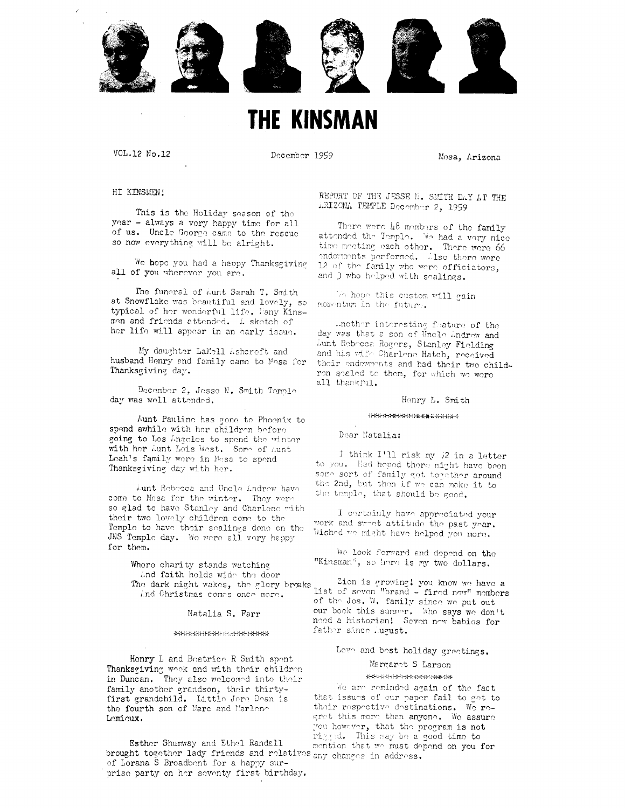

# **THE KINSMAN**

VOL.12 No.12

December 1959

Mesa, Arizona

HI KINSMEN!

This is the Holiday season of the year - always a very happy time for all of us. Uncle George came to the rescue so now everything will be alright.

We hope you had a happy Thanksgiving all of you wherever you are.

The funeral of *i*unt Sarah T. Smith at Snowflake was beautiful and lovely, so typical of her wonderful life. Fany Kinsmen and friends attended. A sketch of her life will appear in an early issue.

My daughter LaMell Ashcroft and husband Henry and family came to Mesa for Thanksgiving day.

December 2, Jesse N. Smith Temple day was well attended.

Aunt Pauline has gone to Phoenix to spend awhile with her children before going to Los Angeles to spend the winter with her Aunt Lois West. Some of Aunt Leah's family were in Mesa to spend Thanksgiving day with her.

Lunt Rebecca and Uncle Lndrew have come to Mesa for the winter. They were so glad to have Stanley and Charlene with their two lovely children come to the Temple to have their sealings done on the JNS Temple day. We were all very happy for them.

> Where charity stands watching And faith holds wide the door The dark night wakes, the glory breaks And Christmas comes once more.

> > Natalia S. Farr

#### \*\*\*\*\*\*\*\*\*\*\*\*\*\*\*\*\*\*\*\*\*

Henry L and Beatrice R Smith spent Thanksgiving week end with their children in Duncan. They also welcomed into their family another grandson, their thirtyfirst grandchild. Little Jere Dean is the fourth son of Marc and Marlono Lemieux.

Esther Shumway and Ethel Randall brought together lady friends and relatives any changes in address. of Lorana S Broadbont for a happy surprise party on her seventy first birthday.

REPORT OF THE JESSE N. SMITH DAY AT THE ARIZONA TEMPLE December 2, 1959

There were 48 members of the family attended the Temple. We had a very nice time meeting each other. There were 66 endorments performed. Also there were 12 of the family who were officiators, and 3 who holped with sealings.

We hope this custom will gain momentum in the future.

..nother interesting feature of the day was that a son of Uncle Andrew and Aunt Rebecca Rogers, Stanley Fielding and his wife Charlene Hatch, received their endewments and had their two childron soaled to them, for which we were all thankful.

Henry L. Smith

#### \*\*\*\*\*\*\*\*\*\*\*\*\*\*\*\*\*\*\*

Dear Natalia:

I think I'll risk my 2 in a letter to you. Had hoped there might have been some sort of family get together around the 2nd, but then if we can make it to the templo, that should be good.

I cortainly have appreciated your work and sweet attitude the past year. Wished we might have helped you more.

We look forward and depend on the "Kinsman", so here is my two dollars.

Zion is growing! you know we have a<br>list of seven "brand - fired new" members of the Jos. W. family since we put out our book this surmer. Who says we don't need a historian! Seven new babies for father since Lugust.

# Love and best holiday greetings.

# Margaret S Larson

# \*\*\*\*\*\*\*\*\*\*\*\*\*\*\*\*\*\*\*

We are reminded again of the fact that issues of our paper fail to get to their respective destinations. We regret this more than anyone. We assure you however, that the program is not rigged. This may be a good time to mention that we must depend on you for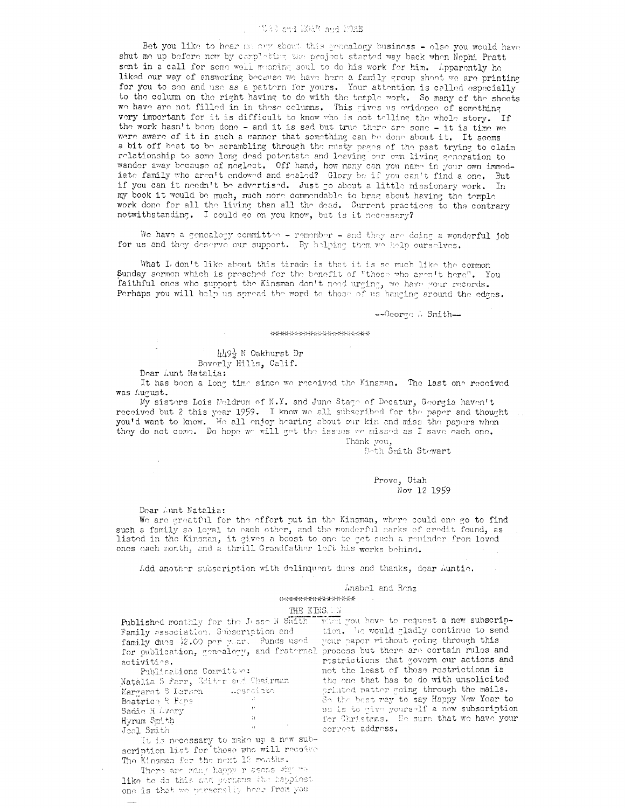# TORE and MORE and MORE

Bet you like to hear no cry about this sencalogy business - clse you would have shut me up before now by completing the project started way back when Nephi Pratt sent in a call for some well meaning soul to do his work for him. Apparently he liked our way of answering because we have here a family group sheet we are printing for you to see and use as a pattern for yours. Your attention is called especially to the column on the right having to do with the temple work. So many of the sheets we have are not filled in in these columns. This gives us evidence of something very important for it is difficult to know who is not telling the whole story. If the work hasn't been done - and it is sad but true there are some - it is time we were aware of it in such a manner that something can be done about it. It seems a bit off boat to be scrambling through the musty pages of the past trying to claim relationship to some long dead potentate and leaving our own living generation to wander away because of neglect. Off hand, how many can you name in your own immediate family who aren't endowed and sealed? Glory be if you can't find a one. But if you can it needn't be advertised. Just go about a little missionary work. In my book it would be much, much more commendable to brag about having the temple work done for all the living than all the dead. Current practices to the contrary notwithstanding. I could go on you know, but is it necessary?

We have a genealogy committee - remember - and they are doing a wonderful job for us and they deserve our support. By helping them we help ourselves.

What I don't like about this tirade is that it is se much like the common Sunday sermon which is preached for the benefit of "those who aren't here". You faithful ones who support the Kinsman don't need urging, we have your records. Perhaps you will help us spread the word to those of us hanging around the edges.

--George A Smith-

#### \*\*\*\*\*\*\*\*\*\*\*\*\*\*\*\*\*\*\*\*\*

山9台 N Oakhurst Dr Beverly Hills, Calif.

Dear Aunt Natalia:

It has been a long time since we received the Kinsman. The last one received was August.

My sisters Lois Meldrum of N.Y. and June Stage of Decatur, Georgia haven't received but 2 this year 1959. I know we all subscribed for the paper and thought ... you'd want to know. We all enjoy hearing about our kin and miss the papers when they do not come. Do hope we will get the issues we missed as I save each one. Thank you,

Both Smith Stewart

Provo, Utah Nov 12 1959

#### Dear Aunt Natalia:

We are greatful for the effort put in the Kinsman, where could one go to find such a family so loyal to each other, and the wonderful marks of credit found, as listed in the Kinsman, it gives a boost to one to get such a reminder from loved ones each month, and a thrill Grandfather left his works behind.

Add another subscription with delinquent dues and thanks, dear Auntie.

#### Anabel and Renz

\*\*\*\*\*\*\*\*\*\*\*\*\*\*\*\*

# THE KINS. W

Published monthly for the Jose W Swith With you have to request a new subscrip-Family association. Subscription and tion. The would gladly continue to send<br>family dues \$2.00 per year. Funds used your paper vithout going through this<br>for publication, genealogy, and fraternal process but there are cort activities.

Beatrico & Pape  $\mathbf{R}^{\mathbf{c}}$ Sadio H Lvery  $\mathcal{H}^{\pm}$ Hyrum Smith  $\rightarrow$  1  $-$ Joel Smith

It is necessary to make up a new subscription list for those who will recodve The Kinsman for the next 12 months.

There are many happy r asons why me like to do this and perhaps the happiest one is that we personally hear from you

restrictions that govern our actions and not the least of these restrictions is So the best way to say Happy New Year to us is to give yourself a new subscription for Christmas. Bo sure that we have your correct address.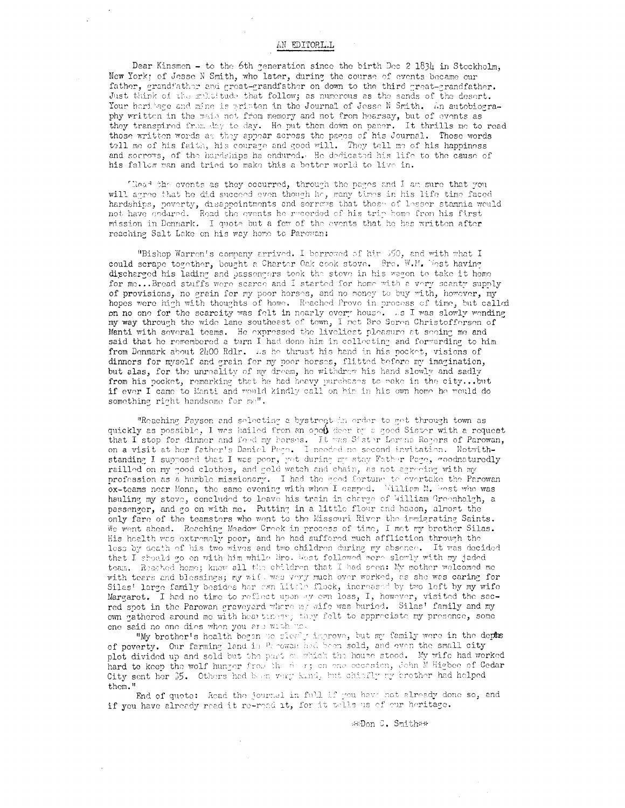# AN EDITORIAL

Dear Kinsmen - to the 6th generation since the birth Dec 2 1834 in Stockholm, New York; of Jesse N Smith, who later, during the course of events became our father, grandfather and great-grandfather on down to the third great-grandfather. Just think of the multitude that follow; as numerous as the sands of the desert. Your heritage and mine is written in the Journal of Jesse N Smith. An autobiography written in the mais not from memory and not from hearsay, but of events as they transpired from day to day. He put them down on paper. It thrills me to read those written words as they appear across the pages of his Journal. Those words tell me of his faith, his courage and good will. They tell me of his happiness and sorrows, of the hardships he endured. He dedicated his life to the cause of his fellow man and tried to make this a better world to live in.

Thead the events as they occurred, through the pages and I am sure that you will agree that he did succeed even though he, many times in his life time faced hardships, poverty, disappointments and sorrows that those of lesser stamnia would not have endared. Read the events he recorded of his trip home from his first mission in Donmark. I quote but a few of the events that he has written after reaching Salt Lake on his way home to Parowan:

"Bishop Warren's company arrived. I berrowed of him 550, and with what I could scrape together, bought a Charter Oak cook stove. Bre. W.M. Most having discharged his lading and passengers took the stove in his wagon to take it home for me...Bread stuffs were scarce and I started for home with a very scanty supply of provisions, no grain for my poor horses, and no money to buy with, however, my hopes were high with thoughts of home. Reached Provo in process of time, but called on no one for the scarcity was felt in nearly every house. As I was slowly wending my way through the wide lane southeast of town, I not Bro Soren Christoffersen of Manti with several teams. He expressed the liveliest pleasure at seeing me and said that he remembered a turn I had done him in collecting and forwarding to him from Denmark about 2400 Rdlr. As he thrust his hand in his pocket, visions of dinners for myself and grain for my poor horses, flitted before my imagination, but alas, for the unreality of my dream, he withdrew his hand slowly and sadly from his pocket, remarking that he had heavy purchases to make in the city... but if ever I came to Manti and would kindly call on him in his own home he would do something right handsome for me".

"Reaching Payson and selecting a bystreqt in order to get through town as quickly as possible, I was hailed from an open deer by a good Sister with a request that I stop for dinner and feed my borses. It was Sister Lerena Regers of Parowan, on a visit at her father's Daniel Page. I needed no second invitation. Notwithstanding I supposed that I was poor, yet during my stay Father Page, goodnaturedly railled on my good clothes, and gold watch and chain, as not agreeing with my profession as a humble missionary. I had the good fortung to evertake the Parowan ox-teams near Mona, the same evening with when I camped. William M. West who was hauling my stove, concluded to leave his train in charge of William Greenhalgh, a passenger, and go on with me. Putting in a little flour and bacon, almost the only fare of the teamsters who went to the Missouri River the inmigrating Saints. We went ahead. Reaching Meadow Creek in process of time, I met my brother Silas. His health was extremely poor, and he had suffered much affliction through the loss by doath of his two wives and two children during my absence. It was decided that I should go on with him while Bro. West followed more slowly with my jaded team. Reached home; knew all the children that I had seen: My mother welcomed me with tears and blessings; my wift was very much over worked, as she was caring for Silas' large family besides her cwn little flock, increased by two left by my wife Margaret. I had no time to reflect upon my own loss, I, however, visited the sacred spot in the Parowan graveyard where my gife was buried. Silas' family and my own gathered around me with heartinese; they felt to appreciate my presence, some one said no one dies when you are with me-

"Wy brother's health began we show y improve, but my family were in the depts of poverty. Our farming land is Parowas had been sold, and even the small city plot divided up and sold but the part of which the house stood. My wife had worked hard to keep the wolf hunger from the dust; on one eccasion, John M Higbee of Cedar City sent her \$5. Others had been very kind, but chiefly by crother had helped them."

End of quote: Read the journal in full if you have not already done so, and if you have already read it re-read it, for it tells us of our heritage.

\*\*Don C. Smith\*\*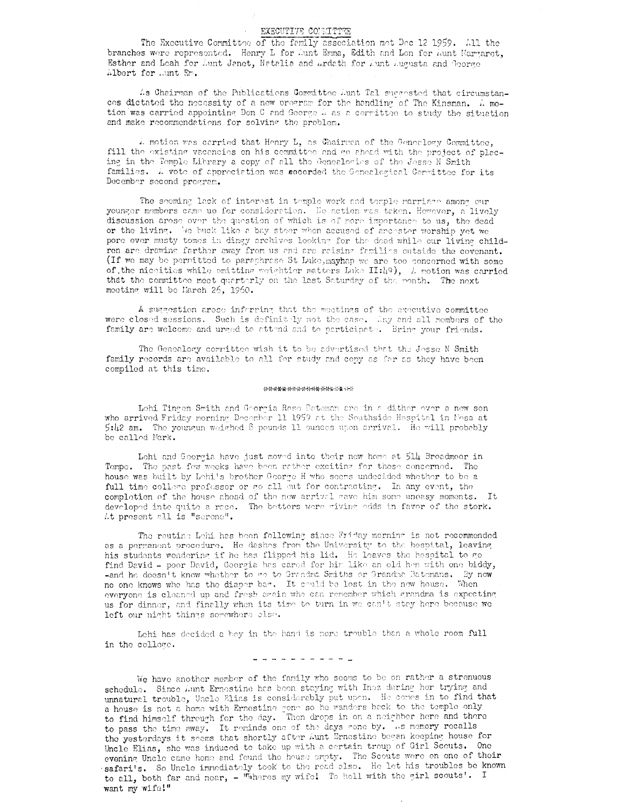# EXECUTIVE CONNITEE

The Executive Committee of the femily association met Dec 12 1959. All the branches were represented. Henry L for Aunt Emma, Edith and Lon for Aunt Margaret, Esther and Leah for Aunt Jenet, Netalia and Ardath for Aunt Augusta and George Albert for .ant En.

As Chairman of the Publications Committee Aunt Tal succested that circumstances dictated the necessity of a new pregnam for the handling of The Kinsman. A motion was carried appointing Don C and George A as a correition to study the situation and make recommendations for solving the problem.

4 motion was carried that Henry L, as Chairman of the Genealogy Committee, fill the existing vacancies on his committee and go ahead with the project of placing in the Temple Library a copy of all the Genealocies of the Jesse N Smith families. A vote of appreciation was accorded the Genealogical Committee for its December second program.

The seeming lack of interest in temple work and temple marriage among our younger members came up for consideration. No action was taken. Hewever, a lively discussion arose over the question of which is of more importance to us, the dead or the living. No buck like a bay steer when accused of arcester worship yet we pore over musty tomes in dingy archives looking for the dead while our living children are drawing farther away from us and are raising families outside the covenant. (If we may be permitted to paraphrase St Luke, maying we are too concerned with some of the nicelities while omitting weightier matters Luke II:49), A motion was carried that the committee meet quarterly on the last Saturday of the month. The next meeting will be March 26, 1960.

A suggestion arose inferring that the meetings of the executive committee were closed sessions. Such is definitely not the case. Any and all members of the family are welcome and urged to attend and to participate. Bring your friends.

The Genealogy committee wish it to be advertised that the Jesse N Smith family records are available to all for study and copy as for as they have been compiled at this time.

#### \*\*\*\*\*\*\*\*\*\*\*\*\*\*\*\*\*

Lohi Tingen Smith and Georgia Rose Bateman are in a dither over a new son who arrived Friday morning December 11 1959 at the Southside Hespital in Mesa at 5:42 am. The youngun weighed 8 pounds 11 ounces upon arrival. He will probably be called Mark.

Lehi and Georgia have just moved into their new home at 514 Broadmoor in Tompe. The past fow weeks have been rather exciting for these concerned. The house was built by Lehi's brother George H who seems undecided whether to be a full time college professor or go all out for contracting. In any event, the completion of the house ahead of the new arrival gave him some uneasy moments. It developed into quite a race. The betters were giving edds in favor of the stork. Lt present all is "screnc".

The routine Lehi has been following since Friday morning is not recommended as a permanent procedure. He dashes from the University to the hospital, leaving his students wondering if he has flipped his lid. He leaves the hespital to go find David - poor David, Georgia has cared for him like an old hen with one biddy, -and he doesn't know whether to go to Grandma Smiths or Grandma Batemans. By now no one knows who has the diaper bar. It could be lost in the new house. When everyone is cleaned up and fresh again who can remember which grandma is expecting us for dinner, and finally when its time to turn in we can't stay here because we left our night things serewhere else.

Lehi has decided a bey in the hand is more trouble than a whole room full in the college.

### 

We have another member of the family who seems to be on rather a strenuous schedule. Since Aunt Ernostine has been staying with Inez during her trying and unnatural trouble, Uncle Elias is considerably put upon. He comes in to find that a house is not a home with Ernestine gone so he wanders back to the temple only to find himself through for the day. Then drops in on a neighbor here and there to pass the time away. It reminds one of the days cone by. As memory recalls the yesterdays it seems that shortly after Aunt Ernestine began keeping house for Uncle Elias, she was induced to take up with a certain troup of Girl Scouts. One evening Uncle came home and found the house empty. The Scouts were on one of their safari's. So Uncle immediately took to the read also. He let his troubles be known to all, both far and near, - "Wheres my wife! To hell with the girl scouts'. I want my wife!"